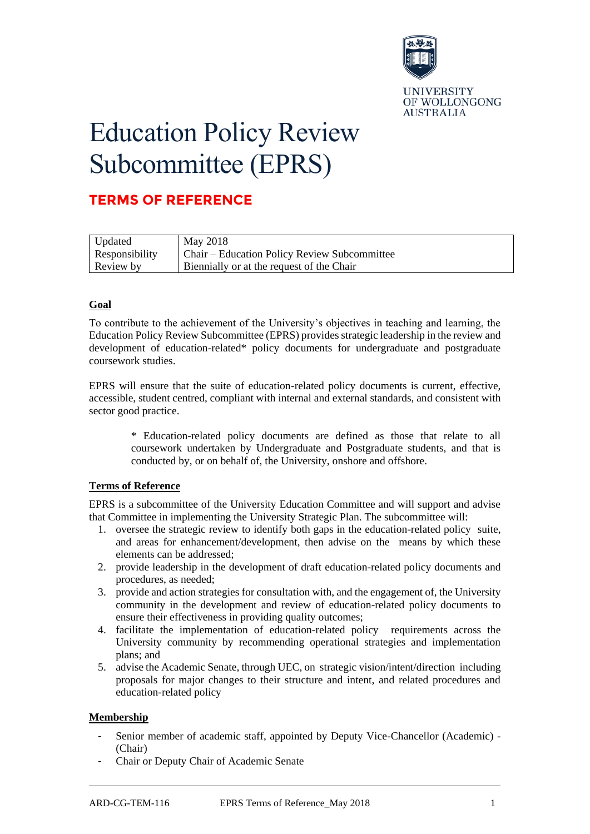

# Education Policy Review Subcommittee (EPRS)

# **TERMS OF REFERENCE**

| Updated               | May 2018                                     |
|-----------------------|----------------------------------------------|
| <b>Responsibility</b> | Chair – Education Policy Review Subcommittee |
| Review by             | Biennially or at the request of the Chair    |

# **Goal**

To contribute to the achievement of the University's objectives in teaching and learning, the Education Policy Review Subcommittee (EPRS) provides strategic leadership in the review and development of education-related\* policy documents for undergraduate and postgraduate coursework studies.

EPRS will ensure that the suite of education-related policy documents is current, effective, accessible, student centred, compliant with internal and external standards, and consistent with sector good practice.

\* Education-related policy documents are defined as those that relate to all coursework undertaken by Undergraduate and Postgraduate students, and that is conducted by, or on behalf of, the University, onshore and offshore.

## **Terms of Reference**

EPRS is a subcommittee of the University Education Committee and will support and advise that Committee in implementing the University Strategic Plan. The subcommittee will:

- 1. oversee the strategic review to identify both gaps in the education-related policy suite, and areas for enhancement/development, then advise on the means by which these elements can be addressed;
- 2. provide leadership in the development of draft education-related policy documents and procedures, as needed;
- 3. provide and action strategies for consultation with, and the engagement of, the University community in the development and review of education-related policy documents to ensure their effectiveness in providing quality outcomes;
- 4. facilitate the implementation of education-related policy requirements across the University community by recommending operational strategies and implementation plans; and
- 5. advise the Academic Senate, through UEC, on strategic vision/intent/direction including proposals for major changes to their structure and intent, and related procedures and education-related policy

## **Membership**

- Senior member of academic staff, appointed by Deputy Vice-Chancellor (Academic) -(Chair)
- Chair or Deputy Chair of Academic Senate